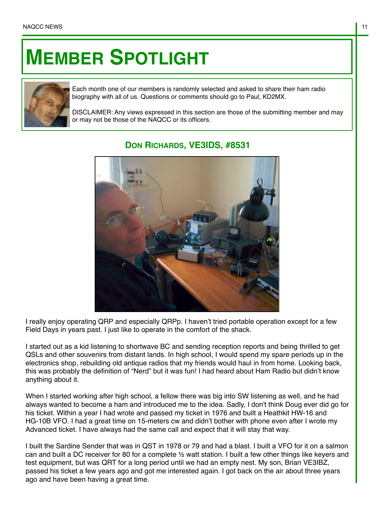## **MEMBER SPOTLIGHT**



Each month one of our members is randomly selected and asked to share their ham radio biography with all of us. Questions or comments should go to Paul, KD2MX.

DISCLAIMER: Any views expressed in this section are those of the submitting member and may or may not be those of the NAQCC or its officers.



## **DON RICHARDS, VE3IDS, #8531**

I really enjoy operating QRP and especially QRPp. I haven't tried portable operation except for a few Field Days in years past. I just like to operate in the comfort of the shack.

I started out as a kid listening to shortwave BC and sending reception reports and being thrilled to get QSLs and other souvenirs from distant lands. In high school, I would spend my spare periods up in the electronics shop, rebuilding old antique radios that my friends would haul in from home. Looking back, this was probably the definition of "Nerd" but it was fun! I had heard about Ham Radio but didn't know anything about it.

When I started working after high school, a fellow there was big into SW listening as well, and he had always wanted to become a ham and introduced me to the idea. Sadly, I don't think Doug ever did go for his ticket. Within a year I had wrote and passed my ticket in 1976 and built a Heathkit HW-16 and HG-10B VFO. I had a great time on 15-meters cw and didn't bother with phone even after I wrote my Advanced ticket. I have always had the same call and expect that it will stay that way.

I built the Sardine Sender that was in QST in 1978 or 79 and had a blast. I built a VFO for it on a salmon can and built a DC receiver for 80 for a complete ½ watt station. I built a few other things like keyers and test equipment, but was QRT for a long period until we had an empty nest. My son, Brian VE3IBZ, passed his ticket a few years ago and got me interested again. I got back on the air about three years ago and have been having a great time.